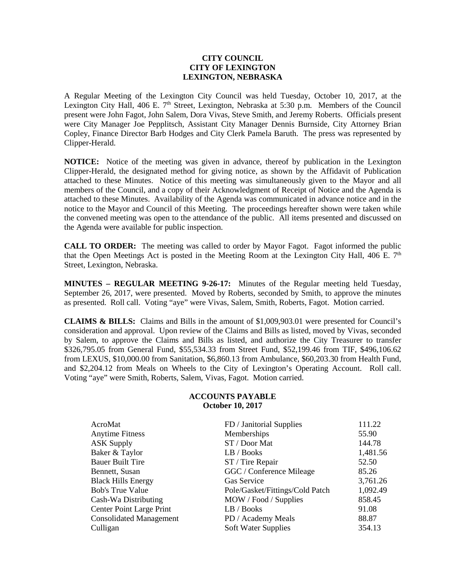## **CITY COUNCIL CITY OF LEXINGTON LEXINGTON, NEBRASKA**

A Regular Meeting of the Lexington City Council was held Tuesday, October 10, 2017, at the Lexington City Hall, 406 E.  $7<sup>th</sup>$  Street, Lexington, Nebraska at 5:30 p.m. Members of the Council present were John Fagot, John Salem, Dora Vivas, Steve Smith, and Jeremy Roberts. Officials present were City Manager Joe Pepplitsch, Assistant City Manager Dennis Burnside, City Attorney Brian Copley, Finance Director Barb Hodges and City Clerk Pamela Baruth. The press was represented by Clipper-Herald.

**NOTICE:** Notice of the meeting was given in advance, thereof by publication in the Lexington Clipper-Herald, the designated method for giving notice, as shown by the Affidavit of Publication attached to these Minutes. Notice of this meeting was simultaneously given to the Mayor and all members of the Council, and a copy of their Acknowledgment of Receipt of Notice and the Agenda is attached to these Minutes. Availability of the Agenda was communicated in advance notice and in the notice to the Mayor and Council of this Meeting. The proceedings hereafter shown were taken while the convened meeting was open to the attendance of the public. All items presented and discussed on the Agenda were available for public inspection.

**CALL TO ORDER:** The meeting was called to order by Mayor Fagot. Fagot informed the public that the Open Meetings Act is posted in the Meeting Room at the Lexington City Hall, 406 E.  $7<sup>th</sup>$ Street, Lexington, Nebraska.

**MINUTES – REGULAR MEETING 9-26-17:** Minutes of the Regular meeting held Tuesday, September 26, 2017, were presented. Moved by Roberts, seconded by Smith, to approve the minutes as presented. Roll call. Voting "aye" were Vivas, Salem, Smith, Roberts, Fagot. Motion carried.

**CLAIMS & BILLS:** Claims and Bills in the amount of \$1,009,903.01 were presented for Council's consideration and approval. Upon review of the Claims and Bills as listed, moved by Vivas, seconded by Salem, to approve the Claims and Bills as listed, and authorize the City Treasurer to transfer \$326,795.05 from General Fund, \$55,534.33 from Street Fund, \$52,199.46 from TIF, \$496,106.62 from LEXUS, \$10,000.00 from Sanitation, \$6,860.13 from Ambulance, \$60,203.30 from Health Fund, and \$2,204.12 from Meals on Wheels to the City of Lexington's Operating Account. Roll call. Voting "aye" were Smith, Roberts, Salem, Vivas, Fagot. Motion carried.

## **ACCOUNTS PAYABLE October 10, 2017**

| AcroMat<br><b>Anytime Fitness</b> | FD / Janitorial Supplies<br>Memberships | 111.22<br>55.90 |
|-----------------------------------|-----------------------------------------|-----------------|
| <b>ASK Supply</b>                 | ST / Door Mat                           | 144.78          |
| Baker & Taylor                    | LB / Books                              | 1,481.56        |
| <b>Bauer Built Tire</b>           | ST / Tire Repair                        | 52.50           |
| Bennett, Susan                    | GGC / Conference Mileage                | 85.26           |
| <b>Black Hills Energy</b>         | Gas Service                             | 3,761.26        |
| <b>Bob's True Value</b>           | Pole/Gasket/Fittings/Cold Patch         | 1,092.49        |
| Cash-Wa Distributing              | MOW / Food / Supplies                   | 858.45          |
| Center Point Large Print          | LB / Books                              | 91.08           |
| <b>Consolidated Management</b>    | PD / Academy Meals                      | 88.87           |
| Culligan                          | <b>Soft Water Supplies</b>              | 354.13          |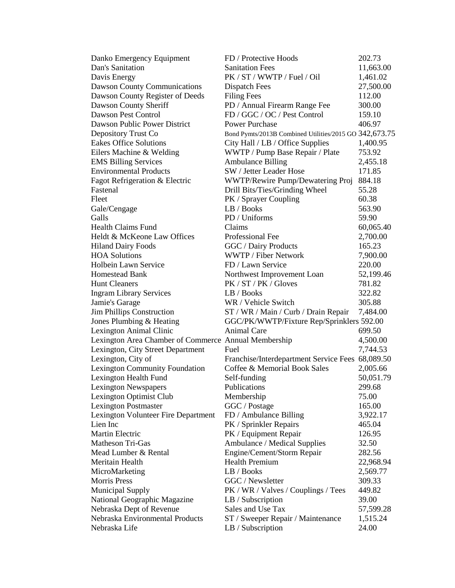| Danko Emergency Equipment                            | FD / Protective Hoods                                  | 202.73             |
|------------------------------------------------------|--------------------------------------------------------|--------------------|
| Dan's Sanitation                                     | <b>Sanitation Fees</b>                                 | 11,663.00          |
| Davis Energy                                         | PK / ST / WWTP / Fuel / Oil                            | 1,461.02           |
| Dawson County Communications                         | <b>Dispatch Fees</b>                                   | 27,500.00          |
| Dawson County Register of Deeds                      | <b>Filing Fees</b>                                     | 112.00             |
| Dawson County Sheriff                                | PD / Annual Firearm Range Fee                          | 300.00             |
| Dawson Pest Control                                  | FD / GGC / OC / Pest Control                           | 159.10             |
| Dawson Public Power District                         | <b>Power Purchase</b>                                  | 406.97             |
| Depository Trust Co                                  | Bond Pymts/2013B Combined Utilities/2015 GO 342,673.75 |                    |
| <b>Eakes Office Solutions</b>                        | City Hall / LB / Office Supplies                       | 1,400.95           |
| Eilers Machine & Welding                             | WWTP / Pump Base Repair / Plate                        | 753.92             |
| <b>EMS Billing Services</b>                          | <b>Ambulance Billing</b>                               | 2,455.18           |
| <b>Environmental Products</b>                        | SW / Jetter Leader Hose                                | 171.85             |
| Fagot Refrigeration & Electric                       | WWTP/Rewire Pump/Dewatering Proj                       | 884.18             |
| Fastenal                                             | Drill Bits/Ties/Grinding Wheel                         | 55.28              |
| Fleet                                                | PK / Sprayer Coupling                                  | 60.38              |
| Gale/Cengage                                         | LB / Books                                             | 563.90             |
| Galls                                                | PD / Uniforms                                          | 59.90              |
| <b>Health Claims Fund</b>                            | Claims                                                 | 60,065.40          |
| Heldt & McKeone Law Offices                          | Professional Fee                                       | 2,700.00           |
| <b>Hiland Dairy Foods</b>                            | GGC / Dairy Products                                   | 165.23             |
| <b>HOA Solutions</b>                                 | <b>WWTP / Fiber Network</b>                            |                    |
| Holbein Lawn Service                                 | FD / Lawn Service                                      | 7,900.00<br>220.00 |
|                                                      |                                                        |                    |
| <b>Homestead Bank</b><br><b>Hunt Cleaners</b>        | Northwest Improvement Loan<br>PK / ST / PK / Gloves    | 52,199.46          |
|                                                      |                                                        | 781.82             |
| <b>Ingram Library Services</b>                       | LB / Books                                             | 322.82             |
| Jamie's Garage                                       | WR / Vehicle Switch                                    | 305.88             |
| Jim Phillips Construction                            | ST / WR / Main / Curb / Drain Repair                   | 7,484.00           |
| Jones Plumbing & Heating                             | GGC/PK/WWTP/Fixture Rep/Sprinklers 592.00              |                    |
| Lexington Animal Clinic                              | <b>Animal Care</b>                                     | 699.50             |
| Lexington Area Chamber of Commerce Annual Membership |                                                        | 4,500.00           |
| Lexington, City Street Department                    | Fuel                                                   | 7,744.53           |
| Lexington, City of                                   | Franchise/Interdepartment Service Fees                 | 68,089.50          |
| <b>Lexington Community Foundation</b>                | Coffee & Memorial Book Sales                           | 2,005.66           |
| Lexington Health Fund                                | Self-funding                                           | 50,051.79          |
| <b>Lexington Newspapers</b>                          | Publications                                           | 299.68             |
| Lexington Optimist Club                              | Membership                                             | 75.00              |
| <b>Lexington Postmaster</b>                          | GGC / Postage                                          | 165.00             |
| Lexington Volunteer Fire Department                  | FD / Ambulance Billing                                 | 3,922.17           |
| Lien Inc                                             | PK / Sprinkler Repairs                                 | 465.04             |
| <b>Martin Electric</b>                               | PK / Equipment Repair                                  | 126.95             |
| Matheson Tri-Gas                                     | Ambulance / Medical Supplies                           | 32.50              |
| Mead Lumber & Rental                                 | Engine/Cement/Storm Repair                             | 282.56             |
| Meritain Health                                      | <b>Health Premium</b>                                  | 22,968.94          |
| MicroMarketing                                       | LB / Books                                             | 2,569.77           |
| <b>Morris Press</b>                                  | GGC / Newsletter                                       | 309.33             |
| Municipal Supply                                     | PK / WR / Valves / Couplings / Tees                    | 449.82             |
| National Geographic Magazine                         | LB / Subscription                                      | 39.00              |
| Nebraska Dept of Revenue                             | Sales and Use Tax                                      | 57,599.28          |
| Nebraska Environmental Products                      | ST / Sweeper Repair / Maintenance                      | 1,515.24           |
| Nebraska Life                                        | LB / Subscription                                      | 24.00              |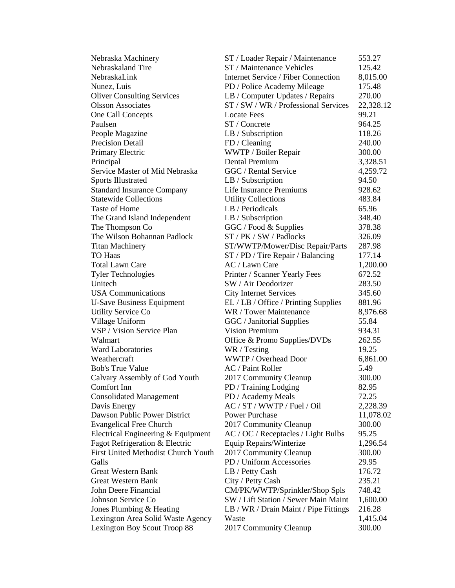| Nebraska Machinery                         | ST / Loader Repair / Maintenance           | 553.27    |
|--------------------------------------------|--------------------------------------------|-----------|
| Nebraskaland Tire                          | ST / Maintenance Vehicles                  | 125.42    |
| NebraskaLink                               | <b>Internet Service / Fiber Connection</b> | 8,015.00  |
| Nunez, Luis                                | PD / Police Academy Mileage                | 175.48    |
| <b>Oliver Consulting Services</b>          | LB / Computer Updates / Repairs            | 270.00    |
| <b>Olsson Associates</b>                   | ST / SW / WR / Professional Services       | 22,328.12 |
| One Call Concepts                          | <b>Locate Fees</b>                         | 99.21     |
| Paulsen                                    | ST / Concrete                              | 964.25    |
| People Magazine                            | LB / Subscription                          | 118.26    |
| <b>Precision Detail</b>                    | FD / Cleaning                              | 240.00    |
| Primary Electric                           | WWTP / Boiler Repair                       | 300.00    |
| Principal                                  | Dental Premium                             | 3,328.51  |
| Service Master of Mid Nebraska             | GGC / Rental Service                       | 4,259.72  |
| <b>Sports Illustrated</b>                  | LB / Subscription                          | 94.50     |
| <b>Standard Insurance Company</b>          | Life Insurance Premiums                    | 928.62    |
| <b>Statewide Collections</b>               | <b>Utility Collections</b>                 | 483.84    |
| Taste of Home                              | LB / Periodicals                           | 65.96     |
| The Grand Island Independent               | LB / Subscription                          | 348.40    |
| The Thompson Co                            | GGC / Food & Supplies                      | 378.38    |
| The Wilson Bohannan Padlock                | ST / PK / SW / Padlocks                    | 326.09    |
| <b>Titan Machinery</b>                     | ST/WWTP/Mower/Disc Repair/Parts            | 287.98    |
| <b>TO Haas</b>                             | ST / PD / Tire Repair / Balancing          | 177.14    |
| <b>Total Lawn Care</b>                     | AC / Lawn Care                             | 1,200.00  |
| <b>Tyler Technologies</b>                  | Printer / Scanner Yearly Fees              | 672.52    |
| Unitech                                    | SW / Air Deodorizer                        | 283.50    |
| <b>USA Communications</b>                  | <b>City Internet Services</b>              | 345.60    |
| <b>U-Save Business Equipment</b>           | EL / LB / Office / Printing Supplies       | 881.96    |
| <b>Utility Service Co</b>                  | WR / Tower Maintenance                     | 8,976.68  |
| Village Uniform                            | GGC / Janitorial Supplies                  | 55.84     |
| VSP / Vision Service Plan                  | <b>Vision Premium</b>                      | 934.31    |
| Walmart                                    | Office & Promo Supplies/DVDs               | 262.55    |
| <b>Ward Laboratories</b>                   | WR / Testing                               | 19.25     |
| Weathercraft                               | WWTP / Overhead Door                       | 6,861.00  |
| <b>Bob's True Value</b>                    | AC / Paint Roller                          | 5.49      |
| Calvary Assembly of God Youth              | 2017 Community Cleanup                     | 300.00    |
| Comfort Inn                                | PD / Training Lodging                      | 82.95     |
| <b>Consolidated Management</b>             | PD / Academy Meals                         | 72.25     |
| Davis Energy                               | AC / ST / WWTP / Fuel / Oil                | 2,228.39  |
| Dawson Public Power District               | <b>Power Purchase</b>                      | 11,078.02 |
| <b>Evangelical Free Church</b>             | 2017 Community Cleanup                     | 300.00    |
| Electrical Engineering & Equipment         | AC / OC / Receptacles / Light Bulbs        | 95.25     |
| Fagot Refrigeration & Electric             | Equip Repairs/Winterize                    | 1,296.54  |
| <b>First United Methodist Church Youth</b> | 2017 Community Cleanup                     | 300.00    |
| Galls                                      | PD / Uniform Accessories                   | 29.95     |
| <b>Great Western Bank</b>                  | LB / Petty Cash                            | 176.72    |
| <b>Great Western Bank</b>                  | City / Petty Cash                          | 235.21    |
| John Deere Financial                       | CM/PK/WWTP/Sprinkler/Shop Spls             | 748.42    |
| Johnson Service Co                         | SW / Lift Station / Sewer Main Maint       | 1,600.00  |
| Jones Plumbing & Heating                   | LB / WR / Drain Maint / Pipe Fittings      | 216.28    |
| Lexington Area Solid Waste Agency          | Waste                                      | 1,415.04  |
| Lexington Boy Scout Troop 88               | 2017 Community Cleanup                     | 300.00    |
|                                            |                                            |           |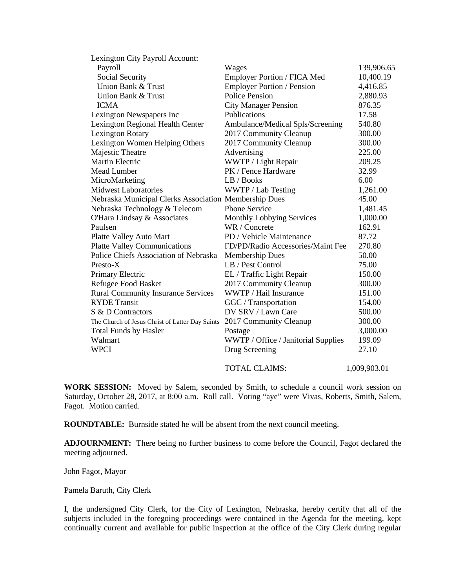| Lexington City Payroll Account:                       |                                     |              |
|-------------------------------------------------------|-------------------------------------|--------------|
| Payroll                                               | Wages                               | 139,906.65   |
| Social Security                                       | Employer Portion / FICA Med         | 10,400.19    |
| Union Bank & Trust                                    | Employer Portion / Pension          | 4,416.85     |
| Union Bank & Trust                                    | <b>Police Pension</b>               | 2,880.93     |
| <b>ICMA</b>                                           | <b>City Manager Pension</b>         | 876.35       |
| Lexington Newspapers Inc                              | Publications                        | 17.58        |
| Lexington Regional Health Center                      | Ambulance/Medical Spls/Screening    | 540.80       |
| <b>Lexington Rotary</b>                               | 2017 Community Cleanup              | 300.00       |
| Lexington Women Helping Others                        | 2017 Community Cleanup              | 300.00       |
| Majestic Theatre                                      | Advertising                         | 225.00       |
| Martin Electric                                       | WWTP / Light Repair                 | 209.25       |
| Mead Lumber                                           | PK / Fence Hardware                 | 32.99        |
| MicroMarketing                                        | LB / Books                          | 6.00         |
| <b>Midwest Laboratories</b>                           | WWTP / Lab Testing                  | 1,261.00     |
| Nebraska Municipal Clerks Association Membership Dues |                                     | 45.00        |
| Nebraska Technology & Telecom                         | <b>Phone Service</b>                | 1,481.45     |
| O'Hara Lindsay & Associates                           | <b>Monthly Lobbying Services</b>    | 1,000.00     |
| Paulsen                                               | WR / Concrete                       | 162.91       |
| Platte Valley Auto Mart                               | PD / Vehicle Maintenance            | 87.72        |
| <b>Platte Valley Communications</b>                   | FD/PD/Radio Accessories/Maint Fee   | 270.80       |
| Police Chiefs Association of Nebraska                 | <b>Membership Dues</b>              | 50.00        |
| Presto-X                                              | LB / Pest Control                   | 75.00        |
| Primary Electric                                      | EL / Traffic Light Repair           | 150.00       |
| <b>Refugee Food Basket</b>                            | 2017 Community Cleanup              | 300.00       |
| <b>Rural Community Insurance Services</b>             | WWTP / Hail Insurance               | 151.00       |
| <b>RYDE</b> Transit                                   | GGC / Transportation                | 154.00       |
| S & D Contractors                                     | DV SRV / Lawn Care                  | 500.00       |
| The Church of Jesus Christ of Latter Day Saints       | 2017 Community Cleanup              | 300.00       |
| <b>Total Funds by Hasler</b>                          | Postage                             | 3,000.00     |
| Walmart                                               | WWTP / Office / Janitorial Supplies | 199.09       |
| <b>WPCI</b>                                           | Drug Screening                      | 27.10        |
|                                                       | <b>TOTAL CLAIMS:</b>                | 1,009,903.01 |

**WORK SESSION:** Moved by Salem, seconded by Smith, to schedule a council work session on Saturday, October 28, 2017, at 8:00 a.m. Roll call. Voting "aye" were Vivas, Roberts, Smith, Salem, Fagot. Motion carried.

**ROUNDTABLE:** Burnside stated he will be absent from the next council meeting.

**ADJOURNMENT:** There being no further business to come before the Council, Fagot declared the meeting adjourned.

John Fagot, Mayor

Pamela Baruth, City Clerk

I, the undersigned City Clerk, for the City of Lexington, Nebraska, hereby certify that all of the subjects included in the foregoing proceedings were contained in the Agenda for the meeting, kept continually current and available for public inspection at the office of the City Clerk during regular